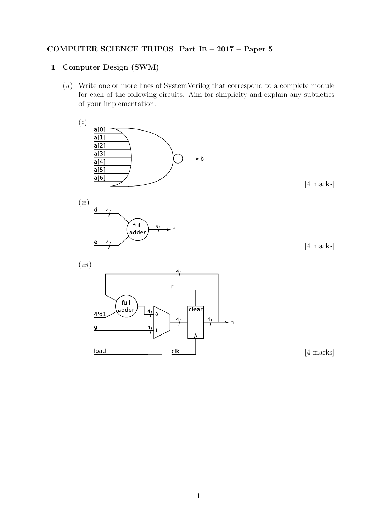## COMPUTER SCIENCE TRIPOS Part IB – 2017 – Paper 5

## 1 Computer Design (SWM)

(a) Write one or more lines of SystemVerilog that correspond to a complete module for each of the following circuits. Aim for simplicity and explain any subtleties of your implementation.